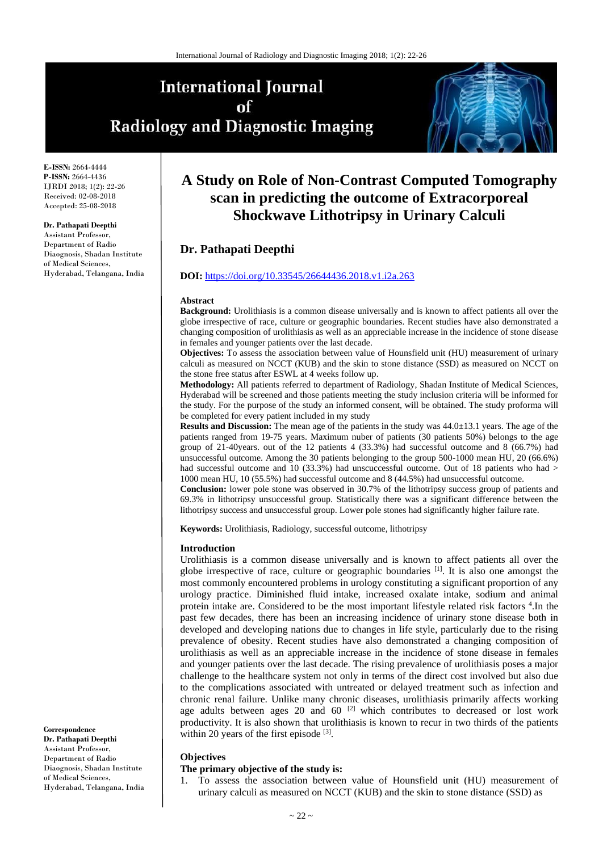# **International Journal** of **Radiology and Diagnostic Imaging**



**E-ISSN:** 2664-4444 **P-ISSN:** 2664-4436 IJRDI 2018; 1(2): 22-26 Received: 02-08-2018 Accepted: 25-08-2018

#### **Dr. Pathapati Deepthi**

Assistant Professor, Department of Radio Diaognosis, Shadan Institute of Medical Sciences, Hyderabad, Telangana, India

## **A Study on Role of Non-Contrast Computed Tomography scan in predicting the outcome of Extracorporeal Shockwave Lithotripsy in Urinary Calculi**

## **Dr. Pathapati Deepthi**

## **DOI:** <https://doi.org/10.33545/26644436.2018.v1.i2a.263>

#### **Abstract**

**Background:** Urolithiasis is a common disease universally and is known to affect patients all over the globe irrespective of race, culture or geographic boundaries. Recent studies have also demonstrated a changing composition of urolithiasis as well as an appreciable increase in the incidence of stone disease in females and younger patients over the last decade.

**Objectives:** To assess the association between value of Hounsfield unit (HU) measurement of urinary calculi as measured on NCCT (KUB) and the skin to stone distance (SSD) as measured on NCCT on the stone free status after ESWL at 4 weeks follow up.

**Methodology:** All patients referred to department of Radiology, Shadan Institute of Medical Sciences, Hyderabad will be screened and those patients meeting the study inclusion criteria will be informed for the study. For the purpose of the study an informed consent, will be obtained. The study proforma will be completed for every patient included in my study

**Results and Discussion:** The mean age of the patients in the study was 44.0±13.1 years. The age of the patients ranged from 19-75 years. Maximum nuber of patients (30 patients 50%) belongs to the age group of 21-40years. out of the 12 patients 4 (33.3%) had successful outcome and 8 (66.7%) had unsuccessful outcome. Among the 30 patients belonging to the group 500-1000 mean HU, 20 (66.6%) had successful outcome and 10 (33.3%) had unscuccessful outcome. Out of 18 patients who had > 1000 mean HU, 10 (55.5%) had successful outcome and 8 (44.5%) had unsuccessful outcome.

**Conclusion:** lower pole stone was observed in 30.7% of the lithotripsy success group of patients and 69.3% in lithotripsy unsuccessful group. Statistically there was a significant difference between the lithotripsy success and unsuccessful group. Lower pole stones had significantly higher failure rate.

**Keywords:** Urolithiasis, Radiology, successful outcome, lithotripsy

### **Introduction**

Urolithiasis is a common disease universally and is known to affect patients all over the globe irrespective of race, culture or geographic boundaries [1]. It is also one amongst the most commonly encountered problems in urology constituting a significant proportion of any urology practice. Diminished fluid intake, increased oxalate intake, sodium and animal protein intake are. Considered to be the most important lifestyle related risk factors<sup>4</sup>. In the past few decades, there has been an increasing incidence of urinary stone disease both in developed and developing nations due to changes in life style, particularly due to the rising prevalence of obesity. Recent studies have also demonstrated a changing composition of urolithiasis as well as an appreciable increase in the incidence of stone disease in females and younger patients over the last decade. The rising prevalence of urolithiasis poses a major challenge to the healthcare system not only in terms of the direct cost involved but also due to the complications associated with untreated or delayed treatment such as infection and chronic renal failure. Unlike many chronic diseases, urolithiasis primarily affects working age adults between ages 20 and  $60$  <sup>[2]</sup> which contributes to decreased or lost work productivity. It is also shown that urolithiasis is known to recur in two thirds of the patients within 20 years of the first episode [3].

#### **Objectives**

#### **The primary objective of the study is:**

1. To assess the association between value of Hounsfield unit (HU) measurement of urinary calculi as measured on NCCT (KUB) and the skin to stone distance (SSD) as

**Correspondence Dr. Pathapati Deepthi** Assistant Professor, Department of Radio Diaognosis, Shadan Institute of Medical Sciences, Hyderabad, Telangana, India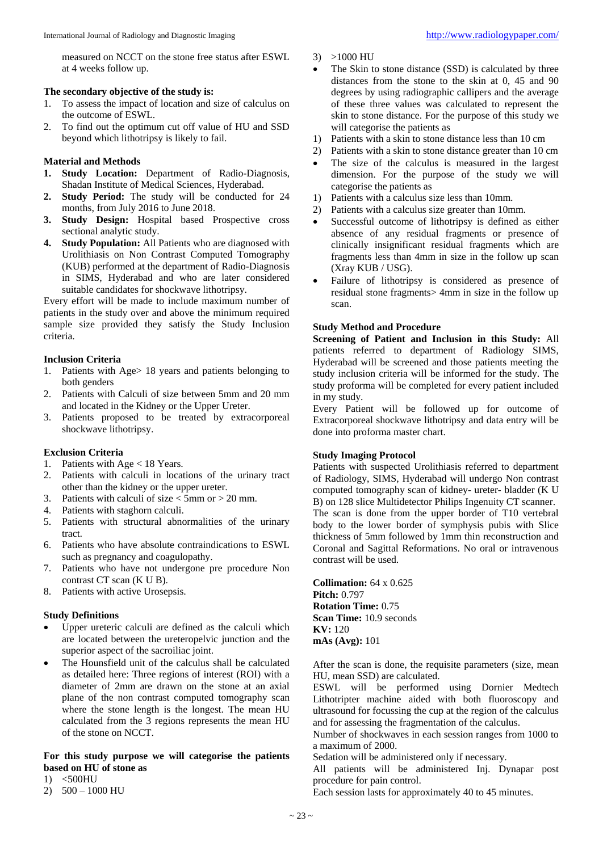measured on NCCT on the stone free status after ESWL at 4 weeks follow up.

## **The secondary objective of the study is:**

- 1. To assess the impact of location and size of calculus on the outcome of ESWL.
- 2. To find out the optimum cut off value of HU and SSD beyond which lithotripsy is likely to fail.

## **Material and Methods**

- **1. Study Location:** Department of Radio-Diagnosis, Shadan Institute of Medical Sciences, Hyderabad.
- **2. Study Period:** The study will be conducted for 24 months, from July 2016 to June 2018.
- **3. Study Design:** Hospital based Prospective cross sectional analytic study.
- **4. Study Population:** All Patients who are diagnosed with Urolithiasis on Non Contrast Computed Tomography (KUB) performed at the department of Radio-Diagnosis in SIMS, Hyderabad and who are later considered suitable candidates for shockwave lithotripsy.

Every effort will be made to include maximum number of patients in the study over and above the minimum required sample size provided they satisfy the Study Inclusion criteria.

## **Inclusion Criteria**

- 1. Patients with Age> 18 years and patients belonging to both genders
- 2. Patients with Calculi of size between 5mm and 20 mm and located in the Kidney or the Upper Ureter.
- 3. Patients proposed to be treated by extracorporeal shockwave lithotripsy.

## **Exclusion Criteria**

- 1. Patients with Age < 18 Years.
- 2. Patients with calculi in locations of the urinary tract other than the kidney or the upper ureter.
- 3. Patients with calculi of size  $<$  5mm or  $>$  20 mm.
- 4. Patients with staghorn calculi.
- 5. Patients with structural abnormalities of the urinary tract.
- 6. Patients who have absolute contraindications to ESWL such as pregnancy and coagulopathy.
- 7. Patients who have not undergone pre procedure Non contrast CT scan (K U B).
- 8. Patients with active Urosepsis.

#### **Study Definitions**

- Upper ureteric calculi are defined as the calculi which are located between the ureteropelvic junction and the superior aspect of the sacroiliac joint.
- The Hounsfield unit of the calculus shall be calculated as detailed here: Three regions of interest (ROI) with a diameter of 2mm are drawn on the stone at an axial plane of the non contrast computed tomography scan where the stone length is the longest. The mean HU calculated from the 3 regions represents the mean HU of the stone on NCCT.

## **For this study purpose we will categorise the patients based on HU of stone as**

- 1) <500HU
- 2) 500 1000 HU
- 3) >1000 HU
- The Skin to stone distance (SSD) is calculated by three distances from the stone to the skin at 0, 45 and 90 degrees by using radiographic callipers and the average of these three values was calculated to represent the skin to stone distance. For the purpose of this study we will categorise the patients as
- 1) Patients with a skin to stone distance less than 10 cm
- 2) Patients with a skin to stone distance greater than 10 cm The size of the calculus is measured in the largest dimension. For the purpose of the study we will categorise the patients as
- 1) Patients with a calculus size less than 10mm.
- 2) Patients with a calculus size greater than 10mm.
- Successful outcome of lithotripsy is defined as either absence of any residual fragments or presence of clinically insignificant residual fragments which are fragments less than 4mm in size in the follow up scan (Xray KUB / USG).
- Failure of lithotripsy is considered as presence of residual stone fragments> 4mm in size in the follow up scan.

## **Study Method and Procedure**

**Screening of Patient and Inclusion in this Study:** All patients referred to department of Radiology SIMS, Hyderabad will be screened and those patients meeting the study inclusion criteria will be informed for the study. The study proforma will be completed for every patient included in my study.

Every Patient will be followed up for outcome of Extracorporeal shockwave lithotripsy and data entry will be done into proforma master chart.

## **Study Imaging Protocol**

Patients with suspected Urolithiasis referred to department of Radiology, SIMS, Hyderabad will undergo Non contrast computed tomography scan of kidney- ureter- bladder (K U B) on 128 slice Multidetector Philips Ingenuity CT scanner. The scan is done from the upper border of T10 vertebral body to the lower border of symphysis pubis with Slice thickness of 5mm followed by 1mm thin reconstruction and Coronal and Sagittal Reformations. No oral or intravenous contrast will be used.

**Collimation:** 64 x 0.625 **Pitch:** 0.797 **Rotation Time:** 0.75 **Scan Time:** 10.9 seconds **KV:** 120 **mAs (Avg):** 101

After the scan is done, the requisite parameters (size, mean HU, mean SSD) are calculated.

ESWL will be performed using Dornier Medtech Lithotripter machine aided with both fluoroscopy and ultrasound for focussing the cup at the region of the calculus and for assessing the fragmentation of the calculus.

Number of shockwaves in each session ranges from 1000 to a maximum of 2000.

Sedation will be administered only if necessary.

All patients will be administered Inj. Dynapar post procedure for pain control.

Each session lasts for approximately 40 to 45 minutes.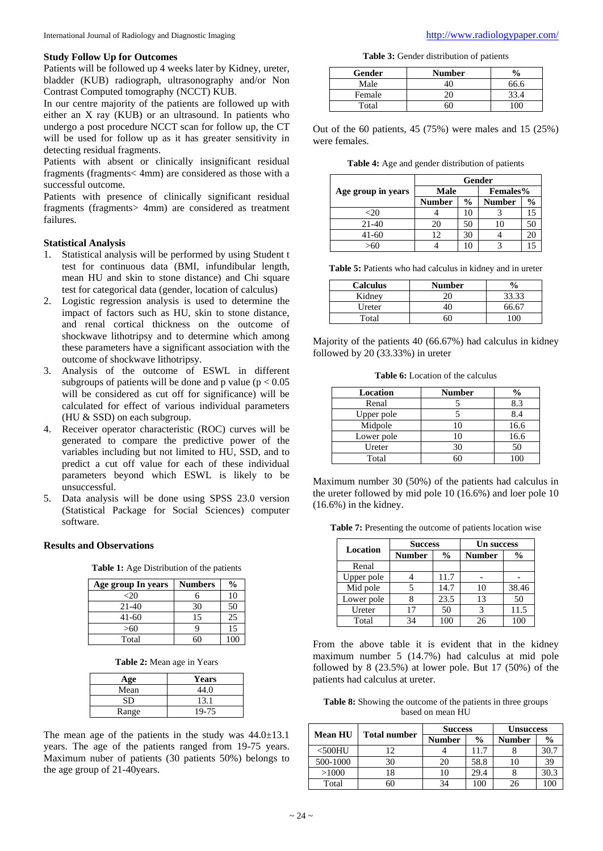## **Study Follow Up for Outcomes**

Patients will be followed up 4 weeks later by Kidney, ureter, bladder (KUB) radiograph, ultrasonography and/or Non Contrast Computed tomography (NCCT) KUB.

In our centre majority of the patients are followed up with either an X ray (KUB) or an ultrasound. In patients who undergo a post procedure NCCT scan for follow up, the CT will be used for follow up as it has greater sensitivity in detecting residual fragments.

Patients with absent or clinically insignificant residual fragments (fragments< 4mm) are considered as those with a successful outcome.

Patients with presence of clinically significant residual fragments (fragments> 4mm) are considered as treatment failures.

## **Statistical Analysis**

- 1. Statistical analysis will be performed by using Student t test for continuous data (BMI, infundibular length, mean HU and skin to stone distance) and Chi square test for categorical data (gender, location of calculus)
- 2. Logistic regression analysis is used to determine the impact of factors such as HU, skin to stone distance, and renal cortical thickness on the outcome of shockwave lithotripsy and to determine which among these parameters have a significant association with the outcome of shockwave lithotripsy.
- 3. Analysis of the outcome of ESWL in different subgroups of patients will be done and p value ( $p < 0.05$ ) will be considered as cut off for significance) will be calculated for effect of various individual parameters (HU & SSD) on each subgroup.
- 4. Receiver operator characteristic (ROC) curves will be generated to compare the predictive power of the variables including but not limited to HU, SSD, and to predict a cut off value for each of these individual parameters beyond which ESWL is likely to be unsuccessful.
- 5. Data analysis will be done using SPSS 23.0 version (Statistical Package for Social Sciences) computer software.

## **Results and Observations**

**Table 1:** Age Distribution of the patients

| Age group In years | <b>Numbers</b> | $\frac{6}{9}$ |
|--------------------|----------------|---------------|
| <20                |                | 10            |
| $21-40$            | 30             | 50            |
| $41-60$            | 15             | 25            |
| >60                | q              | 15            |
| Total              |                | 100           |

**Table 2:** Mean age in Years

| Age   | <b>Years</b> |
|-------|--------------|
| Mean  | 44.0         |
| SD    | 13.1         |
| Range | 19-75        |

The mean age of the patients in the study was  $44.0 \pm 13.1$ years. The age of the patients ranged from 19-75 years. Maximum nuber of patients (30 patients 50%) belongs to the age group of 21-40years.

**Table 3:** Gender distribution of patients

| Gender | <b>Number</b> |      |
|--------|---------------|------|
| Male   |               | 66.6 |
| Female |               | 33.4 |
| Total  |               | 00 N |

Out of the 60 patients, 45 (75%) were males and 15 (25%) were females.

**Table 4:** Age and gender distribution of patients

|                    | Gender      |               |                 |               |  |
|--------------------|-------------|---------------|-----------------|---------------|--|
| Age group in years | <b>Male</b> |               | <b>Females%</b> |               |  |
|                    | Number      | $\frac{6}{9}$ | <b>Number</b>   | $\frac{6}{9}$ |  |
| <20                |             | 10            |                 |               |  |
| $21-40$            | 20          | 50            | 10              | 50            |  |
| 41-60              | 12          | 30            |                 |               |  |
|                    |             |               |                 |               |  |

Table 5: Patients who had calculus in kidney and in ureter

| <b>Calculus</b> | <b>Number</b> | $\frac{0}{\alpha}$ |
|-----------------|---------------|--------------------|
| Kidney          |               | 33.33              |
| Ureter          |               | 66.67              |
| Total           |               |                    |

Majority of the patients 40 (66.67%) had calculus in kidney followed by 20 (33.33%) in ureter

**Table 6:** Location of the calculus

| Location   | Number | $\frac{6}{9}$ |
|------------|--------|---------------|
| Renal      |        | 8.3           |
| Upper pole |        | 8.4           |
| Midpole    | 10     | 16.6          |
| Lower pole | 10     | 16.6          |
| Ureter     | 30     | 50            |
| Total      |        |               |

Maximum number 30 (50%) of the patients had calculus in the ureter followed by mid pole 10 (16.6%) and loer pole 10 (16.6%) in the kidney.

**Table 7:** Presenting the outcome of patients location wise

|            | <b>Success</b>                 |      | <b>Un success</b> |               |  |
|------------|--------------------------------|------|-------------------|---------------|--|
| Location   | <b>Number</b><br>$\frac{6}{9}$ |      | <b>Number</b>     | $\frac{6}{9}$ |  |
| Renal      |                                |      |                   |               |  |
| Upper pole |                                | 11.7 |                   |               |  |
| Mid pole   |                                | 14.7 | 10                | 38.46         |  |
| Lower pole |                                | 23.5 | 13                | 50            |  |
| Ureter     | 17                             | 50   | 3                 | 11.5          |  |
| Total      | 34                             | 100  | 26                | 100           |  |

From the above table it is evident that in the kidney maximum number 5 (14.7%) had calculus at mid pole followed by 8 (23.5%) at lower pole. But 17 (50%) of the patients had calculus at ureter.

| <b>Table 8:</b> Showing the outcome of the patients in three groups |  |
|---------------------------------------------------------------------|--|
| based on mean HU                                                    |  |

| <b>Mean HU</b> |                     | <b>Success</b> |               | <b>Unsuccess</b> |               |
|----------------|---------------------|----------------|---------------|------------------|---------------|
|                | <b>Total number</b> | <b>Number</b>  | $\frac{0}{0}$ | <b>Number</b>    | $\frac{0}{0}$ |
| $<$ 500HU      | 12                  |                | l 1.7         |                  | 30.7          |
| 500-1000       | 30                  | 20             | 58.8          | 10               | 39            |
| >1000          | 18                  | 10             | 29.4          |                  | 30.3          |
| Total          | 60                  | 34             | 100           | 26               |               |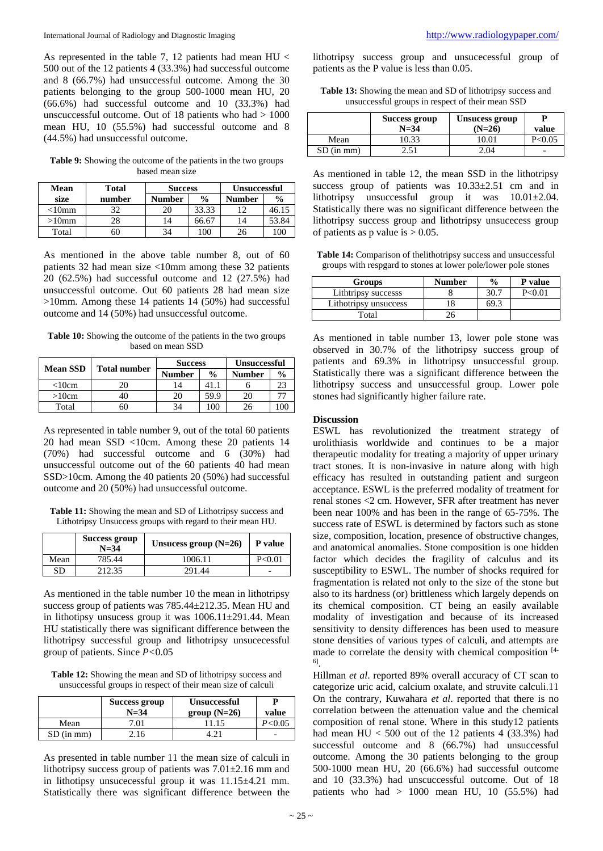As represented in the table 7, 12 patients had mean  $HU <$ 500 out of the 12 patients 4 (33.3%) had successful outcome and 8 (66.7%) had unsuccessful outcome. Among the 30 patients belonging to the group 500-1000 mean HU, 20 (66.6%) had successful outcome and 10 (33.3%) had unscuccessful outcome. Out of 18 patients who had > 1000 mean HU, 10 (55.5%) had successful outcome and 8 (44.5%) had unsuccessful outcome.

**Table 9:** Showing the outcome of the patients in the two groups based mean size

| Mean                 | Total  | <b>Success</b> |               | <b>Unsuccessful</b> |               |
|----------------------|--------|----------------|---------------|---------------------|---------------|
| size                 | number | <b>Number</b>  | $\frac{0}{0}$ | <b>Number</b>       | $\frac{0}{0}$ |
| $<$ l $0$ mm         | 32     |                | 33.33         |                     | 46.1:         |
| $>\!\!10\mathrm{mm}$ | 28     |                | 66.6          |                     | 53.84         |
| Total                | ን()    |                | $00^{\circ}$  | 26                  | 100           |

As mentioned in the above table number 8, out of 60 patients 32 had mean size <10mm among these 32 patients 20 (62.5%) had successful outcome and 12 (27.5%) had unsuccessful outcome. Out 60 patients 28 had mean size >10mm. Among these 14 patients 14 (50%) had successful outcome and 14 (50%) had unsuccessful outcome.

**Table 10:** Showing the outcome of the patients in the two groups based on mean SSD

| <b>Mean SSD</b> | <b>Total number</b> | <b>Success</b> |               | <b>Unsuccessful</b> |               |
|-----------------|---------------------|----------------|---------------|---------------------|---------------|
|                 |                     | <b>Number</b>  | $\frac{0}{0}$ | <b>Number</b>       | $\frac{0}{0}$ |
| $<$ 10 $cm$     | 20                  |                | 41.           |                     | 23            |
| >10cm           |                     | 20             | 59.9          | 20                  |               |
| Total           | JU.                 | 34             |               | 26                  |               |

As represented in table number 9, out of the total 60 patients 20 had mean SSD <10cm. Among these 20 patients 14 (70%) had successful outcome and 6 (30%) had unsuccessful outcome out of the 60 patients 40 had mean SSD>10cm. Among the 40 patients 20 (50%) had successful outcome and 20 (50%) had unsuccessful outcome.

**Table 11:** Showing the mean and SD of Lithotripsy success and Lithotripsy Unsuccess groups with regard to their mean HU.

|      | Success group<br>$N = 34$ | Unsucess group $(N=26)$ | P value  |
|------|---------------------------|-------------------------|----------|
| Mean | 785.44                    | 1006.11                 | P < 0.01 |
| SD   | 212.35                    | 291.44                  | -        |

As mentioned in the table number 10 the mean in lithotripsy success group of patients was 785.44±212.35. Mean HU and in lithotipsy unsucess group it was 1006.11±291.44. Mean HU statistically there was significant difference between the lithotripsy successful group and lithotripsy unsucecessful group of patients. Since *P<*0.05

**Table 12:** Showing the mean and SD of lithotripsy success and unsuccessful groups in respect of their mean size of calculi

|              | Success group<br>$N = 34$ | <b>Unsuccessful</b><br>$group(N=26)$ | value    |
|--------------|---------------------------|--------------------------------------|----------|
| Mean         | 7.01                      | 11.15                                | P < 0.05 |
| $SD$ (in mm) | 2.16                      |                                      | -        |

As presented in table number 11 the mean size of calculi in lithotripsy success group of patients was 7.01±2.16 mm and in lithotipsy unsucecessful group it was 11.15±4.21 mm. Statistically there was significant difference between the

lithotripsy success group and unsucecessful group of patients as the P value is less than 0.05.

**Table 13:** Showing the mean and SD of lithotripsy success and unsuccessful groups in respect of their mean SSD

|              | Success group<br>$N = 34$ | Unsucess group<br>$(N=26)$ | value    |
|--------------|---------------------------|----------------------------|----------|
| Mean         | 10.33                     | 10.01                      | P < 0.05 |
| $SD$ (in mm) | 2.51                      | 2.04                       |          |

As mentioned in table 12, the mean SSD in the lithotripsy success group of patients was 10.33±2.51 cm and in lithotripsy unsuccessful group it was 10.01±2.04. Statistically there was no significant difference between the lithotripsy success group and lithotripsy unsucecess group of patients as p value is  $> 0.05$ .

**Table 14:** Comparison of thelithotripsy success and unsuccessful groups with respgard to stones at lower pole/lower pole stones

| <b>Groups</b>         | <b>Number</b> | $\frac{0}{0}$ | P value  |
|-----------------------|---------------|---------------|----------|
| Lithtripsy successs   |               | 30.7          | P < 0.01 |
| Lithotripsy unsuccess |               | 5Q :          |          |
| Total                 |               |               |          |

As mentioned in table number 13, lower pole stone was observed in 30.7% of the lithotripsy success group of patients and 69.3% in lithotripsy unsuccessful group. Statistically there was a significant difference between the lithotripsy success and unsuccessful group. Lower pole stones had significantly higher failure rate.

#### **Discussion**

ESWL has revolutionized the treatment strategy of urolithiasis worldwide and continues to be a major therapeutic modality for treating a majority of upper urinary tract stones. It is non-invasive in nature along with high efficacy has resulted in outstanding patient and surgeon acceptance. ESWL is the preferred modality of treatment for renal stones <2 cm. However, SFR after treatment has never been near 100% and has been in the range of 65-75%. The success rate of ESWL is determined by factors such as stone size, composition, location, presence of obstructive changes, and anatomical anomalies. Stone composition is one hidden factor which decides the fragility of calculus and its susceptibility to ESWL. The number of shocks required for fragmentation is related not only to the size of the stone but also to its hardness (or) brittleness which largely depends on its chemical composition. CT being an easily available modality of investigation and because of its increased sensitivity to density differences has been used to measure stone densities of various types of calculi, and attempts are made to correlate the density with chemical composition [4- 6] .

Hillman *et al*. reported 89% overall accuracy of CT scan to categorize uric acid, calcium oxalate, and struvite calculi.11 On the contrary, Kuwahara *et al*. reported that there is no correlation between the attenuation value and the chemical composition of renal stone. Where in this study12 patients had mean  $HU < 500$  out of the 12 patients 4 (33.3%) had successful outcome and 8 (66.7%) had unsuccessful outcome. Among the 30 patients belonging to the group 500-1000 mean HU, 20 (66.6%) had successful outcome and 10 (33.3%) had unscuccessful outcome. Out of 18 patients who had  $> 1000$  mean HU, 10 (55.5%) had